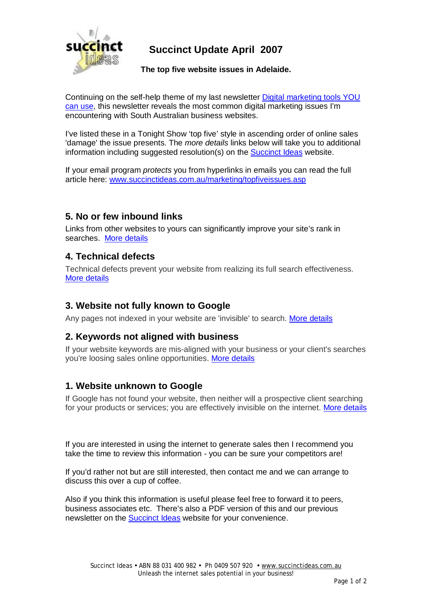

## **Succinct Update April 2007**

**The top five website issues in Adelaide.** 

Continuing on the self-help theme of my last newsletter Digital marketing tools YOU can use, this newsletter reveals the most common digital marketing issues I'm encountering with South Australian business websites.

I've listed these in a Tonight Show 'top five' style in ascending order of online sales 'damage' the issue presents. The *more details* links below will take you to additional information including suggested resolution(s) on the Succinct Ideas website.

If your email program *protects* you from hyperlinks in emails you can read the full article here: [www.succinctideas.com.au/marketing/topfiveissues.asp](http://www.succinctideas.com.au/marketing/topfiveissues.asp)

### **5. No or few inbound links**

Links from other websites to yours can significantly improve your site's rank in searches. More details

#### **4. Technical defects**

Technical defects prevent your website from realizing its full search effectiveness. More details

### **3. Website not fully known to Google**

Any pages not indexed in your website are 'invisible' to search. More details

### **2. Keywords not aligned with business**

If your website keywords are mis-aligned with your business or your client's searches you're loosing sales online opportunities. More details

### **1. Website unknown to Google**

If Google has not found your website, then neither will a prospective client searching for your products or services; you are effectively invisible on the internet. More details

If you are interested in using the internet to generate sales then I recommend you take the time to review this information - you can be sure your competitors are!

If you'd rather not but are still interested, then contact me and we can arrange to discuss this over a cup of coffee.

Also if you think this information is useful please feel free to forward it to peers, business associates etc. There's also a PDF version of this and our previous newsletter on the Succinct Ideas website for your convenience.